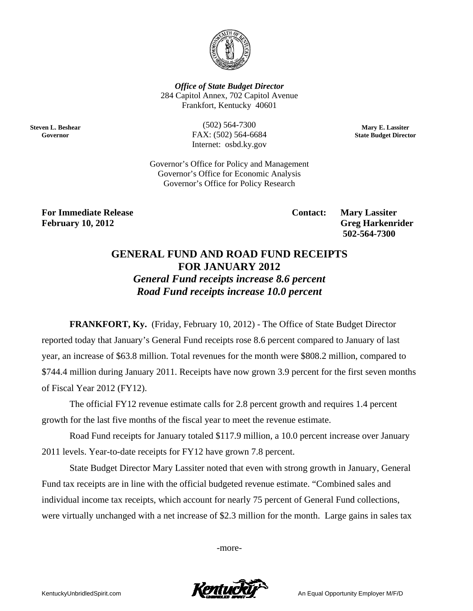

**Office of State Budget Director** 284 Capitol Annex, 702 Capitol Avenue Frankfort, Kentucky 40601

**Steven L. Beshear** Governor

 $(502) 564 - 7300$ FAX: (502) 564-6684 Internet: osbd.ky.gov

Mary E. Lassiter **State Budget Director** 

Governor's Office for Policy and Management Governor's Office for Economic Analysis Governor's Office for Policy Research

**For Immediate Release February 10, 2012** 

**Contact:** 

**Mary Lassiter Greg Harkenrider** 502-564-7300

## **GENERAL FUND AND ROAD FUND RECEIPTS FOR JANUARY 2012 General Fund receipts increase 8.6 percent**

Road Fund receipts increase 10.0 percent

**FRANKFORT, Ky.** (Friday, February 10, 2012) - The Office of State Budget Director reported today that January's General Fund receipts rose 8.6 percent compared to January of last year, an increase of \$63.8 million. Total revenues for the month were \$808.2 million, compared to \$744.4 million during January 2011. Receipts have now grown 3.9 percent for the first seven months of Fiscal Year 2012 (FY12).

The official FY12 revenue estimate calls for 2.8 percent growth and requires 1.4 percent growth for the last five months of the fiscal year to meet the revenue estimate.

Road Fund receipts for January totaled \$117.9 million, a 10.0 percent increase over January 2011 levels. Year-to-date receipts for FY12 have grown 7.8 percent.

State Budget Director Mary Lassiter noted that even with strong growth in January, General Fund tax receipts are in line with the official budgeted revenue estimate. "Combined sales and individual income tax receipts, which account for nearly 75 percent of General Fund collections, were virtually unchanged with a net increase of \$2.3 million for the month. Large gains in sales tax

-more-

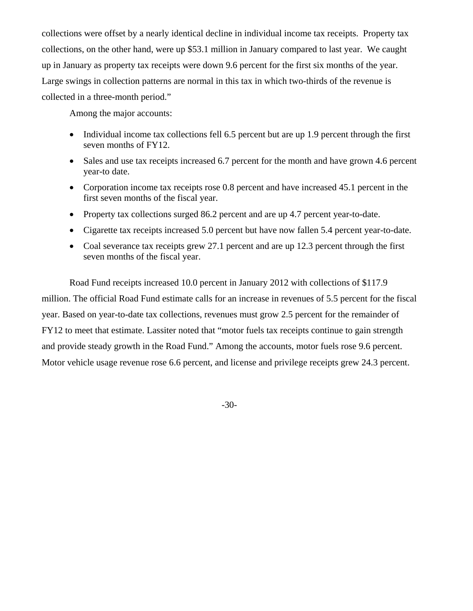collections were offset by a nearly identical decline in individual income tax receipts. Property tax collections, on the other hand, were up \$53.1 million in January compared to last year. We caught up in January as property tax receipts were down 9.6 percent for the first six months of the year. Large swings in collection patterns are normal in this tax in which two-thirds of the revenue is collected in a three-month period."

Among the major accounts:

- Individual income tax collections fell 6.5 percent but are up 1.9 percent through the first seven months of FY12.
- Sales and use tax receipts increased 6.7 percent for the month and have grown 4.6 percent year-to date.
- Corporation income tax receipts rose 0.8 percent and have increased 45.1 percent in the first seven months of the fiscal year.
- Property tax collections surged 86.2 percent and are up 4.7 percent year-to-date.
- Cigarette tax receipts increased 5.0 percent but have now fallen 5.4 percent year-to-date.
- Coal severance tax receipts grew 27.1 percent and are up 12.3 percent through the first seven months of the fiscal year.

Road Fund receipts increased 10.0 percent in January 2012 with collections of \$117.9 million. The official Road Fund estimate calls for an increase in revenues of 5.5 percent for the fiscal year. Based on year-to-date tax collections, revenues must grow 2.5 percent for the remainder of FY12 to meet that estimate. Lassiter noted that "motor fuels tax receipts continue to gain strength and provide steady growth in the Road Fund." Among the accounts, motor fuels rose 9.6 percent. Motor vehicle usage revenue rose 6.6 percent, and license and privilege receipts grew 24.3 percent.

-30-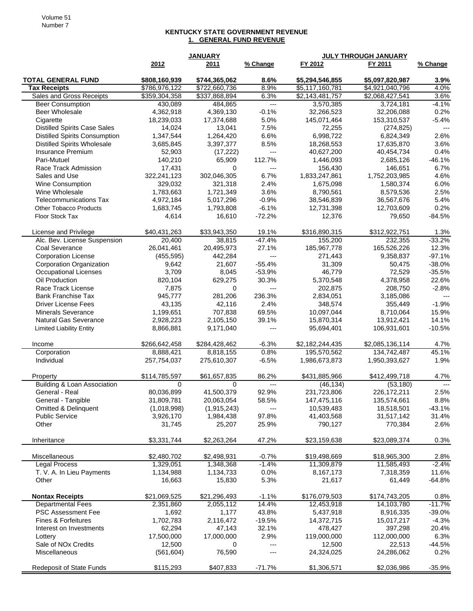## **KENTUCKY STATE GOVERNMENT REVENUE 1. GENERAL FUND REVENUE**

|                                                  |                                | <b>JANUARY</b>                 |                | JULY THROUGH JANUARY               |                                    |              |
|--------------------------------------------------|--------------------------------|--------------------------------|----------------|------------------------------------|------------------------------------|--------------|
|                                                  | 2012                           | 2011                           | % Change       | FY 2012                            | FY 2011                            | % Change     |
| <b>TOTAL GENERAL FUND</b><br><b>Tax Receipts</b> | \$808,160,939<br>\$786,976,122 | \$744,365,062<br>\$722,660,736 | 8.6%<br>8.9%   | \$5,294,546,855<br>\$5,117,160,781 | \$5,097,820,987<br>\$4,921,040,796 | 3.9%<br>4.0% |
| Sales and Gross Receipts                         | \$359,304,358                  | \$337,868,894                  | 6.3%           | \$2,143,481,757                    | \$2,068,427,541                    | 3.6%         |
| <b>Beer Consumption</b>                          | 430,089                        | 484,865                        | ---            | 3,570,385                          | 3,724,181                          | $-4.1%$      |
| Beer Wholesale                                   | 4,362,918                      | 4,369,130                      | $-0.1%$        | 32,266,523                         | 32,206,088                         | 0.2%         |
| Cigarette                                        | 18,239,033                     | 17,374,688                     | 5.0%           | 145,071,464                        | 153,310,537                        | $-5.4%$      |
| <b>Distilled Spirits Case Sales</b>              | 14,024                         | 13,041                         | 7.5%           | 72,255                             | (274, 825)                         | $---$        |
| <b>Distilled Spirits Consumption</b>             | 1,347,544                      | 1,264,420                      | 6.6%           | 6,998,722                          | 6,824,349                          | 2.6%         |
| <b>Distilled Spirits Wholesale</b>               | 3,685,845                      | 3,397,377                      | 8.5%           | 18,268,553                         | 17,635,870                         | 3.6%         |
| Insurance Premium                                | 52,903                         | (17, 222)                      | $---$          | 40,627,200                         | 40,454,734                         | 0.4%         |
| Pari-Mutuel                                      | 140,210                        | 65,909                         | 112.7%         | 1,446,093                          | 2,685,126                          | $-46.1%$     |
| Race Track Admission                             | 17,431                         | 0                              | $\overline{a}$ | 156,430                            | 146,651                            | 6.7%         |
| Sales and Use                                    | 322,241,123                    | 302,046,305                    | 6.7%           | 1,833,247,861                      | 1,752,203,985                      | 4.6%         |
| <b>Wine Consumption</b>                          | 329,032                        | 321,318                        | 2.4%           | 1,675,098                          | 1,580,374                          | 6.0%         |
| Wine Wholesale                                   | 1,783,663                      | 1,721,349                      | 3.6%           | 8,790,561                          | 8,579,536                          | 2.5%         |
| <b>Telecommunications Tax</b>                    | 4,972,184                      | 5,017,296                      | $-0.9%$        | 38,546,839                         | 36,567,676                         | 5.4%         |
| <b>Other Tobacco Products</b>                    | 1,683,745                      | 1,793,808                      | $-6.1%$        | 12,731,398                         | 12,703,609                         | 0.2%         |
| Floor Stock Tax                                  | 4,614                          | 16,610                         | $-72.2%$       | 12,376                             | 79,650                             | $-84.5%$     |
|                                                  |                                |                                |                |                                    |                                    |              |
| License and Privilege                            | \$40,431,263                   | \$33,943,350                   | 19.1%          | \$316,890,315                      | \$312,922,751                      | 1.3%         |
| Alc. Bev. License Suspension                     | 20,400                         | 38,815                         | $-47.4%$       | 155,200                            | 232,355                            | $-33.2%$     |
| Coal Severance                                   | 26,041,461                     | 20,495,973                     | 27.1%          | 185,967,778                        | 165,526,226                        | 12.3%        |
| <b>Corporation License</b>                       | (455, 595)                     | 442,284                        | ---            | 271,443                            | 9,358,837                          | $-97.1%$     |
| <b>Corporation Organization</b>                  | 9,642                          | 21,607                         | $-55.4%$       | 31,309                             | 50,475                             | $-38.0%$     |
| <b>Occupational Licenses</b>                     | 3,709                          | 8,045                          | $-53.9%$       | 46.779                             | 72,529                             | $-35.5%$     |
| Oil Production                                   | 820,104                        | 629,275                        | 30.3%          | 5,370,548                          | 4,378,958                          | 22.6%        |
| Race Track License                               | 7,875                          | 0                              | ---            | 202,875                            | 208,750                            | $-2.8%$      |
| <b>Bank Franchise Tax</b>                        | 945,777                        | 281,206                        | 236.3%         | 2,834,051                          | 3,185,086                          | $---$        |
| <b>Driver License Fees</b>                       | 43,135                         | 42,116                         | 2.4%           | 348,574                            | 355,449                            | $-1.9%$      |
| <b>Minerals Severance</b>                        | 1,199,651                      | 707,838                        | 69.5%          | 10,097,044                         | 8,710,064                          | 15.9%        |
| <b>Natural Gas Severance</b>                     | 2,928,223                      | 2,105,150                      | 39.1%          | 15,870,314                         | 13,912,421                         | 14.1%        |
| <b>Limited Liability Entity</b>                  | 8,866,881                      | 9,171,040                      | $---$          | 95,694,401                         | 106,931,601                        | $-10.5%$     |
| Income                                           | \$266,642,458                  | \$284,428,462                  | $-6.3%$        | \$2,182,244,435                    | \$2,085,136,114                    | 4.7%         |
| Corporation                                      | 8,888,421                      | 8,818,155                      | 0.8%           | 195,570,562                        | 134.742.487                        | 45.1%        |
| Individual                                       | 257,754,037                    | 275,610,307                    | $-6.5%$        | 1,986,673,873                      | 1,950,393,627                      | 1.9%         |
|                                                  |                                |                                |                |                                    |                                    |              |
| Property                                         | \$114,785,597                  | \$61,657,835                   | 86.2%          | \$431,885,966                      | \$412,499,718                      | 4.7%         |
| Building & Loan Association                      | $\Omega$                       | $\Omega$                       | $---$          | (46, 134)                          | (53, 180)                          | $---$        |
| General - Real                                   | 80,036,899                     | 41,500,379                     | 92.9%          | 231,723,806                        | 226,172,211                        | 2.5%         |
| General - Tangible                               | 31,809,781                     | 20,063,054                     | 58.5%          | 147,475,116                        | 135,574,661                        | 8.8%         |
| <b>Omitted &amp; Delinquent</b>                  | (1,018,998)                    | (1,915,243)                    | $---$          | 10,539,483                         | 18,518,501                         | $-43.1%$     |
| <b>Public Service</b>                            | 3,926,170                      | 1,984,438                      | 97.8%          | 41,403,568                         | 31,517,142                         | 31.4%        |
| Other                                            | 31,745                         | 25,207                         | 25.9%          | 790,127                            | 770,384                            | 2.6%         |
| Inheritance                                      | \$3,331,744                    | \$2,263,264                    | 47.2%          | \$23,159,638                       | \$23,089,374                       | 0.3%         |
| Miscellaneous                                    | \$2,480,702                    | \$2,498,931                    | $-0.7%$        | \$19,498,669                       | \$18,965,300                       | 2.8%         |
| Legal Process                                    | 1,329,051                      | 1,348,368                      | $-1.4%$        | 11,309,879                         | 11,585,493                         | $-2.4%$      |
| T. V. A. In Lieu Payments                        | 1,134,988                      | 1,134,733                      | 0.0%           | 8,167,173                          | 7,318,359                          | 11.6%        |
| Other                                            | 16,663                         | 15,830                         | 5.3%           | 21,617                             | 61,449                             | $-64.8%$     |
|                                                  |                                |                                |                |                                    |                                    |              |
| <b>Nontax Receipts</b>                           | \$21,069,525                   | \$21,296,493                   | $-1.1%$        | \$176,079,503                      | \$174,743,205                      | 0.8%         |
| <b>Departmental Fees</b>                         | 2,351,860                      | 2,055,112                      | 14.4%          | 12,453,918                         | 14,103,780                         | $-11.7%$     |
| <b>PSC Assessment Fee</b>                        | 1,692                          | 1,177                          | 43.8%          | 5,437,918                          | 8,916,335                          | $-39.0%$     |
| Fines & Forfeitures                              | 1,702,783                      | 2,116,472                      | $-19.5%$       | 14,372,715                         | 15,017,217                         | $-4.3%$      |
| Interest on Investments                          | 62,294                         | 47,143                         | 32.1%          | 478,427                            | 397,298                            | 20.4%        |
| Lottery                                          | 17,500,000                     | 17,000,000                     | 2.9%           | 119,000,000                        | 112,000,000                        | 6.3%         |
| Sale of NO <sub>x</sub> Credits                  | 12,500                         | 0                              | $---$          | 12,500                             | 22,513                             | $-44.5%$     |
| Miscellaneous                                    | (561, 604)                     | 76,590                         | ---            | 24,324,025                         | 24,286,062                         | 0.2%         |
| Redeposit of State Funds                         | \$115,293                      | \$407,833                      | $-71.7%$       | \$1,306,571                        | \$2,036,986                        | $-35.9%$     |